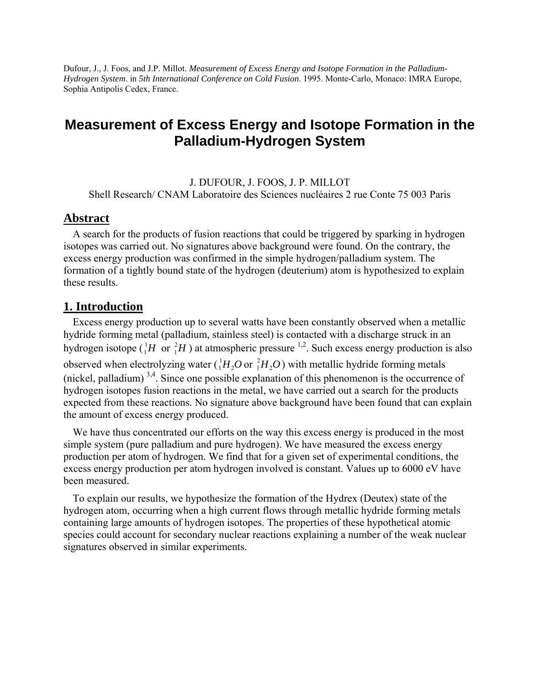Dufour, J., J. Foos, and J.P. Millot. *Measurement of Excess Energy and Isotope Formation in the Palladium-Hydrogen System*. in *5th International Conference on Cold Fusion*. 1995. Monte-Carlo, Monaco: IMRA Europe, Sophia Antipolis Cedex, France.

# **Measurement of Excess Energy and Isotope Formation in the Palladium-Hydrogen System**

J. DUFOUR, J. FOOS, J. P. MILLOT Shell Research/ CNAM Laboratoire des Sciences nuclÈaires 2 rue Conte 75 003 Paris

### **Abstract**

A search for the products of fusion reactions that could be triggered by sparking in hydrogen isotopes was carried out. No signatures above background were found. On the contrary, the excess energy production was confirmed in the simple hydrogen/palladium system. The formation of a tightly bound state of the hydrogen (deuterium) atom is hypothesized to explain these results.

# **1. Introduction**

Excess energy production up to several watts have been constantly observed when a metallic hydride forming metal (palladium, stainless steel) is contacted with a discharge struck in an hydrogen isotope  $({}_{1}^{1}H$  or  ${}_{1}^{2}H$ ) at atmospheric pressure <sup>1,2</sup>. Such excess energy production is also observed when electrolyzing water  $({}^{1}_{1}H_{2}O$  or  ${}^{2}_{1}H_{2}O$ ) with metallic hydride forming metals (nickel, palladium)<sup>3,4</sup>. Since one possible explanation of this phenomenon is the occurrence of hydrogen isotopes fusion reactions in the metal, we have carried out a search for the products expected from these reactions. No signature above background have been found that can explain the amount of excess energy produced.

We have thus concentrated our efforts on the way this excess energy is produced in the most simple system (pure palladium and pure hydrogen). We have measured the excess energy production per atom of hydrogen. We find that for a given set of experimental conditions, the excess energy production per atom hydrogen involved is constant. Values up to 6000 eV have been measured.

To explain our results, we hypothesize the formation of the Hydrex (Deutex) state of the hydrogen atom, occurring when a high current flows through metallic hydride forming metals containing large amounts of hydrogen isotopes. The properties of these hypothetical atomic species could account for secondary nuclear reactions explaining a number of the weak nuclear signatures observed in similar experiments.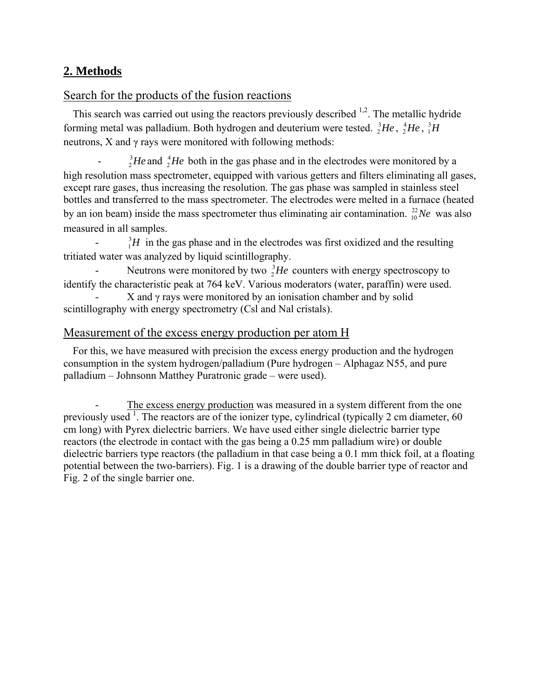# **2. Methods**

# Search for the products of the fusion reactions

This search was carried out using the reactors previously described  $1,2$ . The metallic hydride forming metal was palladium. Both hydrogen and deuterium were tested.  ${}_{2}^{3}He$ ,  ${}_{2}^{4}He$ ,  ${}_{1}^{3}H$ neutrons,  $X$  and  $\gamma$  rays were monitored with following methods:

 $\frac{3}{2}$ *He* and  $\frac{4}{2}$ *He* both in the gas phase and in the electrodes were monitored by a high resolution mass spectrometer, equipped with various getters and filters eliminating all gases, except rare gases, thus increasing the resolution. The gas phase was sampled in stainless steel bottles and transferred to the mass spectrometer. The electrodes were melted in a furnace (heated by an ion beam) inside the mass spectrometer thus eliminating air contamination.  $^{22}_{10}Ne$  was also measured in all samples.

 $\frac{3}{1}H$  in the gas phase and in the electrodes was first oxidized and the resulting tritiated water was analyzed by liquid scintillography. 1

- Neutrons were monitored by two  ${}_{2}^{3}He$  counters with energy spectroscopy to identify the characteristic peak at 764 keV. Various moderators (water, paraffin) were used.

 $X$  and  $\gamma$  rays were monitored by an ionisation chamber and by solid scintillography with energy spectrometry (Csl and Nal cristals).

# Measurement of the excess energy production per atom H

For this, we have measured with precision the excess energy production and the hydrogen consumption in the system hydrogen/palladium (Pure hydrogen  $-$  Alphagaz N55, and pure palladium – Johnsonn Matthey Puratronic grade – were used).

The excess energy production was measured in a system different from the one previously used  $\overline{1}$ . The reactors are of the ionizer type, cylindrical (typically 2 cm diameter, 60 cm long) with Pyrex dielectric barriers. We have used either single dielectric barrier type reactors (the electrode in contact with the gas being a 0.25 mm palladium wire) or double dielectric barriers type reactors (the palladium in that case being a 0.1 mm thick foil, at a floating potential between the two-barriers). Fig. 1 is a drawing of the double barrier type of reactor and Fig. 2 of the single barrier one.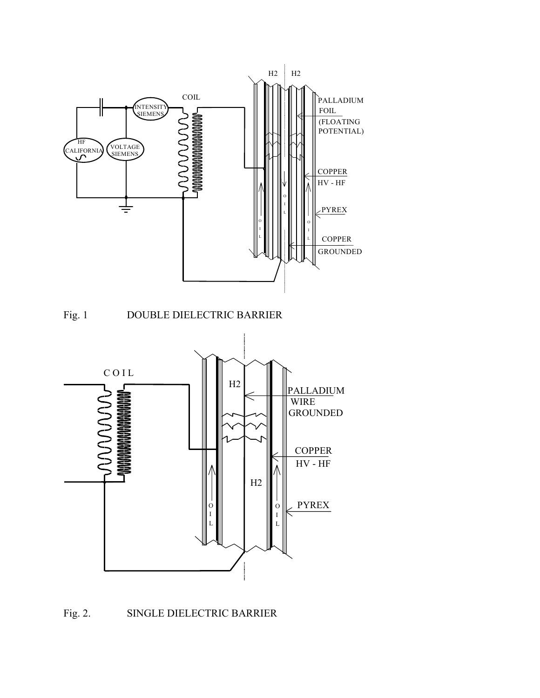

Fig. 1 DOUBLE DIELECTRIC BARRIER

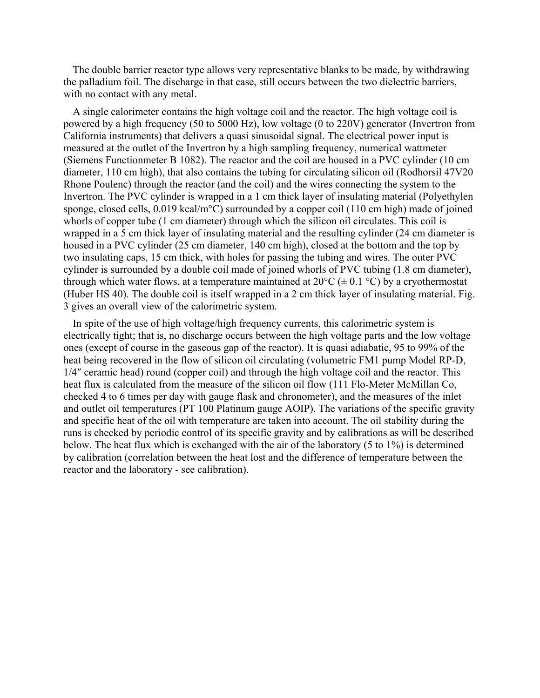The double barrier reactor type allows very representative blanks to be made, by withdrawing the palladium foil. The discharge in that case, still occurs between the two dielectric barriers, with no contact with any metal.

A single calorimeter contains the high voltage coil and the reactor. The high voltage coil is powered by a high frequency (50 to 5000 Hz), low voltage (0 to 220V) generator (Invertron from California instruments) that delivers a quasi sinusoidal signal. The electrical power input is measured at the outlet of the Invertron by a high sampling frequency, numerical wattmeter (Siemens Functionmeter B 1082). The reactor and the coil are housed in a PVC cylinder (10 cm diameter, 110 cm high), that also contains the tubing for circulating silicon oil (Rodhorsil 47V20 Rhone Poulenc) through the reactor (and the coil) and the wires connecting the system to the Invertron. The PVC cylinder is wrapped in a 1 cm thick layer of insulating material (Polyethylen sponge, closed cells, 0.019 kcal/m<sup>o</sup>C) surrounded by a copper coil (110 cm high) made of joined whorls of copper tube (1 cm diameter) through which the silicon oil circulates. This coil is wrapped in a 5 cm thick layer of insulating material and the resulting cylinder (24 cm diameter is housed in a PVC cylinder (25 cm diameter, 140 cm high), closed at the bottom and the top by two insulating caps, 15 cm thick, with holes for passing the tubing and wires. The outer PVC cylinder is surrounded by a double coil made of joined whorls of PVC tubing (1.8 cm diameter), through which water flows, at a temperature maintained at  $20^{\circ}$ C ( $\pm$  0.1 °C) by a cryothermostat (Huber HS 40). The double coil is itself wrapped in a 2 cm thick layer of insulating material. Fig. 3 gives an overall view of the calorimetric system.

In spite of the use of high voltage/high frequency currents, this calorimetric system is electrically tight; that is, no discharge occurs between the high voltage parts and the low voltage ones (except of course in the gaseous gap of the reactor). It is quasi adiabatic, 95 to 99% of the heat being recovered in the flow of silicon oil circulating (volumetric FM1 pump Model RP-D, 1/4″ ceramic head) round (copper coil) and through the high voltage coil and the reactor. This heat flux is calculated from the measure of the silicon oil flow (111 Flo-Meter McMillan Co, checked 4 to 6 times per day with gauge flask and chronometer), and the measures of the inlet and outlet oil temperatures (PT 100 Platinum gauge AOIP). The variations of the specific gravity and specific heat of the oil with temperature are taken into account. The oil stability during the runs is checked by periodic control of its specific gravity and by calibrations as will be described below. The heat flux which is exchanged with the air of the laboratory (5 to 1%) is determined by calibration (correlation between the heat lost and the difference of temperature between the reactor and the laboratory - see calibration).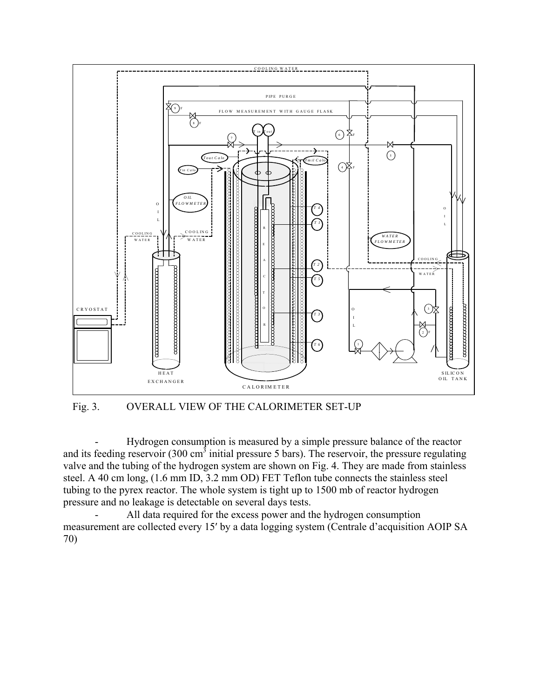



- Hydrogen consumption is measured by a simple pressure balance of the reactor and its feeding reservoir (300 cm<sup>3</sup> initial pressure 5 bars). The reservoir, the pressure regulating valve and the tubing of the hydrogen system are shown on Fig. 4. They are made from stainless steel. A 40 cm long, (1.6 mm ID, 3.2 mm OD) FET Teflon tube connects the stainless steel tubing to the pyrex reactor. The whole system is tight up to 1500 mb of reactor hydrogen pressure and no leakage is detectable on several days tests.

All data required for the excess power and the hydrogen consumption measurement are collected every 15' by a data logging system (Centrale d'acquisition AOIP SA 70)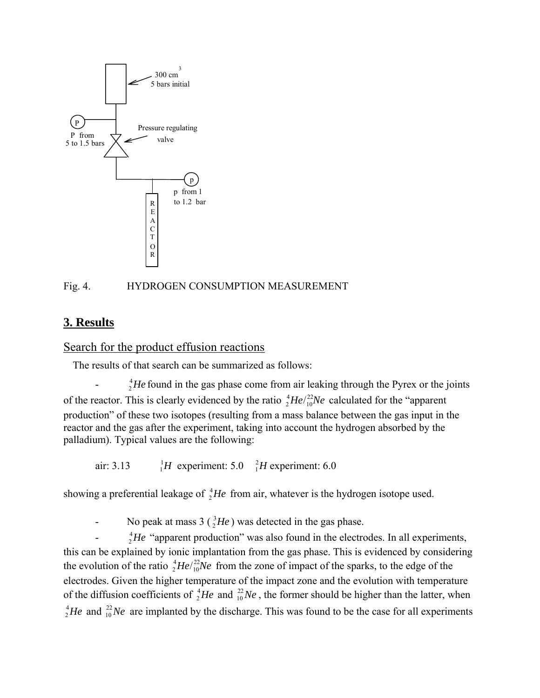

Fig. 4. HYDROGEN CONSUMPTION MEASUREMENT

# **3. Results**

Search for the product effusion reactions

The results of that search can be summarized as follows:

 $\frac{4}{2}$ *He* found in the gas phase come from air leaking through the Pyrex or the joints of the reactor. This is clearly evidenced by the ratio  ${}_{2}^{4}He/{}_{10}^{22}Ne$  calculated for the "apparent" production" of these two isotopes (resulting from a mass balance between the gas input in the reactor and the gas after the experiment, taking into account the hydrogen absorbed by the palladium). Typical values are the following:  $^{4}_{2}$ He/

air: 3.13  $\frac{1}{1}H$  experiment: 5.0  $\frac{2}{1}H$  experiment: 6.0 1

showing a preferential leakage of  ${}_{2}^{4}He$  from air, whatever is the hydrogen isotope used.

- No peak at mass  $3\left(\frac{3}{2}He\right)$  was detected in the gas phase.

 $\frac{4}{2}$  He "apparent production" was also found in the electrodes. In all experiments, this can be explained by ionic implantation from the gas phase. This is evidenced by considering the evolution of the ratio  ${}_{2}^{4}He/{}_{10}^{22}Ne$  from the zone of impact of the sparks, to the edge of the electrodes. Given the higher temperature of the impact zone and the evolution with temperature of the diffusion coefficients of  ${}_{2}^{4}He$  and  ${}_{10}^{22}Ne$ , the former should be higher than the latter, when  $^{4}_{2}He$  and  $^{22}_{10}Ne$  are implanted by the discharge. This was found to be the case for all experiments  $^{4}_{2}$ He/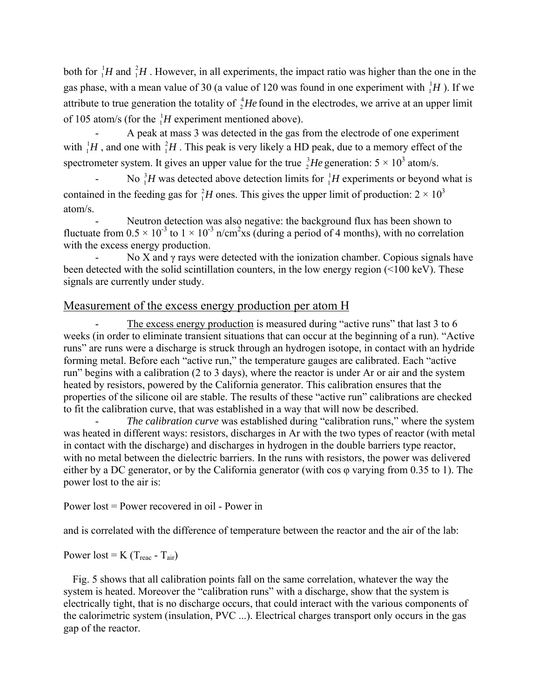both for  ${}_{1}^{1}H$  and  ${}_{1}^{2}H$ . However, in all experiments, the impact ratio was higher than the one in the gas phase, with a mean value of 30 (a value of 120 was found in one experiment with  $\frac{1}{1}H$ ). If we attribute to true generation the totality of  ${}_{2}^{4}He$  found in the electrodes, we arrive at an upper limit of 105 atom/s (for the  ${}_{1}^{1}H$  experiment mentioned above). 1 1

with  $\frac{1}{1}H$ , and one with  $\frac{2}{1}H$ . This peak is very likely a HD peak, due to a memory effect of the - A peak at mass 3 was detected in the gas from the electrode of one experiment spectrometer system. It gives an upper value for the true  $\frac{3}{2}He$  generation:  $5 \times 10$  $3$  atom/s.

- No  ${}^{3}_{1}H$  was detected above detection limits for  ${}^{1}_{1}H$  experiments or beyond what is contained in the feeding gas for  ${}_{1}^{2}H$  ones. This gives the upper limit of production:  $2 \times 10^{3}$ atom/s.

Neutron detection was also negative: the background flux has been shown to fluctuate from  $0.5 \times 10^{-3}$  to  $1 \times 10^{-3}$  n/cm<sup>2</sup>xs (during a period of 4 months), with no correlation with the excess energy production.

No X and  $\gamma$  rays were detected with the ionization chamber. Copious signals have been detected with the solid scintillation counters, in the low energy region (<100 keV). These signals are currently under study.

## Measurement of the excess energy production per atom H

The excess energy production is measured during "active runs" that last 3 to 6 weeks (in order to eliminate transient situations that can occur at the beginning of a run). "Active runs" are runs were a discharge is struck through an hydrogen isotope, in contact with an hydride forming metal. Before each "active run," the temperature gauges are calibrated. Each "active runî begins with a calibration (2 to 3 days), where the reactor is under Ar or air and the system heated by resistors, powered by the California generator. This calibration ensures that the properties of the silicone oil are stable. The results of these "active run" calibrations are checked to fit the calibration curve, that was established in a way that will now be described.

*The calibration curve* was established during "calibration runs," where the system was heated in different ways: resistors, discharges in Ar with the two types of reactor (with metal in contact with the discharge) and discharges in hydrogen in the double barriers type reactor, with no metal between the dielectric barriers. In the runs with resistors, the power was delivered either by a DC generator, or by the California generator (with cos φ varying from 0.35 to 1). The power lost to the air is:

Power lost = Power recovered in oil - Power in

and is correlated with the difference of temperature between the reactor and the air of the lab:

Power lost = K ( $T_{\text{reac}}$  -  $T_{\text{air}}$ )

Fig. 5 shows that all calibration points fall on the same correlation, whatever the way the system is heated. Moreover the "calibration runs" with a discharge, show that the system is electrically tight, that is no discharge occurs, that could interact with the various components of the calorimetric system (insulation, PVC ...). Electrical charges transport only occurs in the gas gap of the reactor.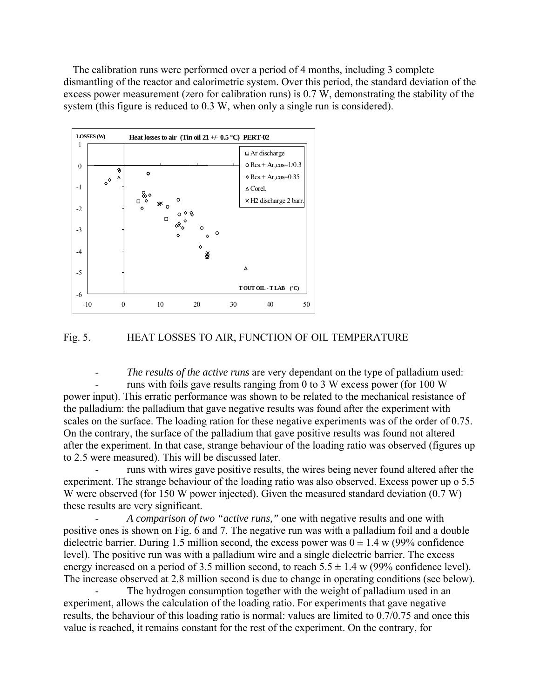The calibration runs were performed over a period of 4 months, including 3 complete dismantling of the reactor and calorimetric system. Over this period, the standard deviation of the excess power measurement (zero for calibration runs) is 0.7 W, demonstrating the stability of the system (this figure is reduced to 0.3 W, when only a single run is considered).



#### Fig. 5. HEAT LOSSES TO AIR, FUNCTION OF OIL TEMPERATURE

- *The results of the active runs* are very dependant on the type of palladium used: runs with foils gave results ranging from 0 to 3 W excess power (for 100 W power input). This erratic performance was shown to be related to the mechanical resistance of the palladium: the palladium that gave negative results was found after the experiment with scales on the surface. The loading ration for these negative experiments was of the order of 0.75. On the contrary, the surface of the palladium that gave positive results was found not altered after the experiment. In that case, strange behaviour of the loading ratio was observed (figures up to 2.5 were measured). This will be discussed later.

runs with wires gave positive results, the wires being never found altered after the experiment. The strange behaviour of the loading ratio was also observed. Excess power up o 5.5 W were observed (for 150 W power injected). Given the measured standard deviation (0.7 W) these results are very significant.

- *A comparison of two "active runs,"* one with negative results and one with positive ones is shown on Fig. 6 and 7. The negative run was with a palladium foil and a double dielectric barrier. During 1.5 million second, the excess power was  $0 \pm 1.4$  w (99% confidence level). The positive run was with a palladium wire and a single dielectric barrier. The excess energy increased on a period of 3.5 million second, to reach  $5.5 \pm 1.4$  w (99% confidence level). The increase observed at 2.8 million second is due to change in operating conditions (see below).

The hydrogen consumption together with the weight of palladium used in an experiment, allows the calculation of the loading ratio. For experiments that gave negative results, the behaviour of this loading ratio is normal: values are limited to 0.7/0.75 and once this value is reached, it remains constant for the rest of the experiment. On the contrary, for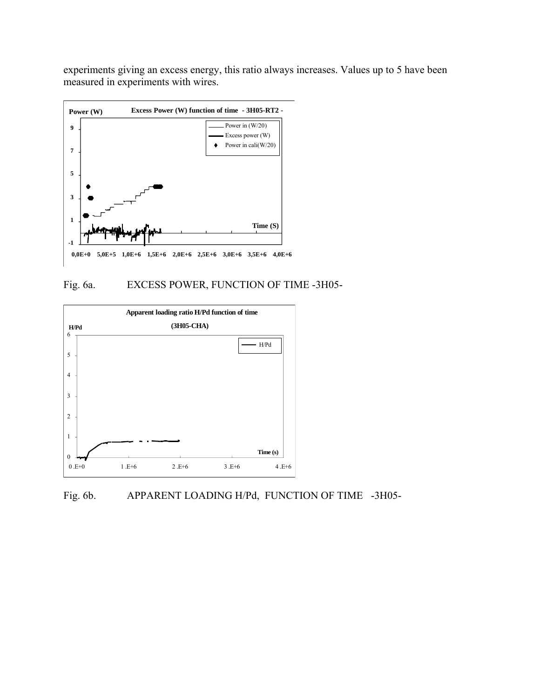experiments giving an excess energy, this ratio always increases. Values up to 5 have been measured in experiments with wires.



### Fig. 6a. EXCESS POWER, FUNCTION OF TIME -3H05-



Fig. 6b. APPARENT LOADING H/Pd, FUNCTION OF TIME -3H05-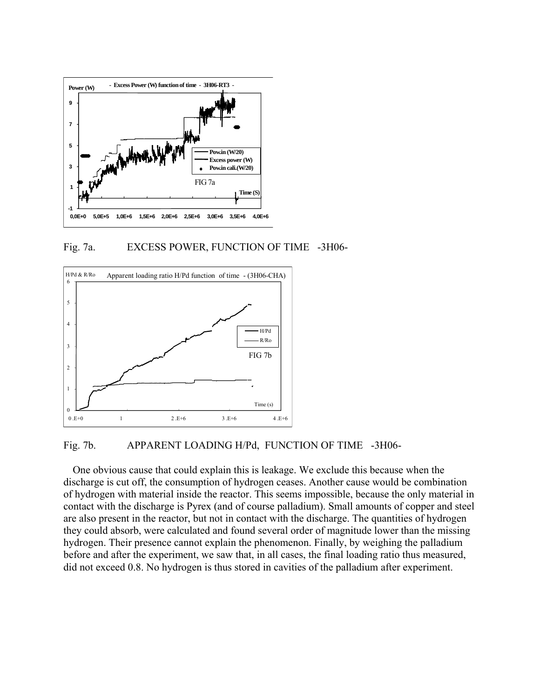

Fig. 7a. EXCESS POWER, FUNCTION OF TIME -3H06-



# Fig. 7b. APPARENT LOADING H/Pd, FUNCTION OF TIME -3H06-

One obvious cause that could explain this is leakage. We exclude this because when the discharge is cut off, the consumption of hydrogen ceases. Another cause would be combination of hydrogen with material inside the reactor. This seems impossible, because the only material in contact with the discharge is Pyrex (and of course palladium). Small amounts of copper and steel are also present in the reactor, but not in contact with the discharge. The quantities of hydrogen they could absorb, were calculated and found several order of magnitude lower than the missing hydrogen. Their presence cannot explain the phenomenon. Finally, by weighing the palladium before and after the experiment, we saw that, in all cases, the final loading ratio thus measured, did not exceed 0.8. No hydrogen is thus stored in cavities of the palladium after experiment.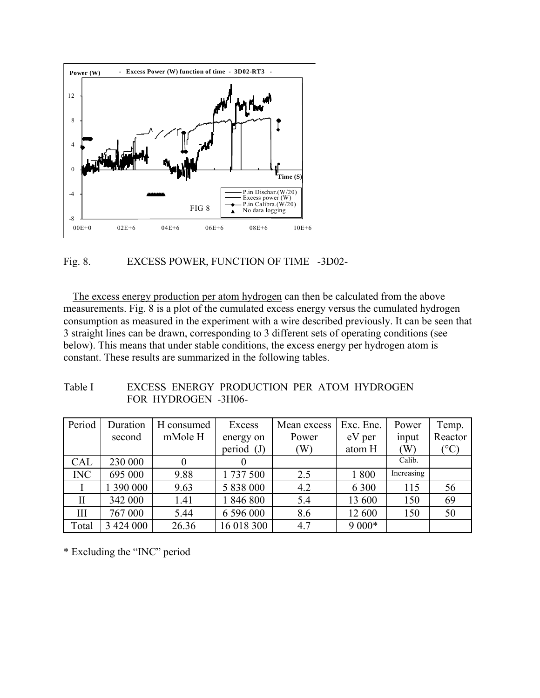

Fig. 8. EXCESS POWER, FUNCTION OF TIME -3D02-

The excess energy production per atom hydrogen can then be calculated from the above measurements. Fig. 8 is a plot of the cumulated excess energy versus the cumulated hydrogen consumption as measured in the experiment with a wire described previously. It can be seen that 3 straight lines can be drawn, corresponding to 3 different sets of operating conditions (see below). This means that under stable conditions, the excess energy per hydrogen atom is constant. These results are summarized in the following tables.

| Table I | EXCESS ENERGY PRODUCTION PER ATOM HYDROGEN |  |  |
|---------|--------------------------------------------|--|--|
|         | FOR HYDROGEN -3H06-                        |  |  |

| Period     | Duration  | H consumed | Excess       | Mean excess | Exc. Ene. | Power      | Temp.                  |
|------------|-----------|------------|--------------|-------------|-----------|------------|------------------------|
|            | second    | mMole H    | energy on    | Power       | eV per    | input      | Reactor                |
|            |           |            | period $(J)$ | (W)         | atom H    | (W)        | $({}^\circ\mathrm{C})$ |
| CAL        | 230 000   | 0          |              |             |           | Calib.     |                        |
| <b>INC</b> | 695 000   | 9.88       | 1737500      | 2.5         | 1800      | Increasing |                        |
|            | 1 390 000 | 9.63       | 5 838 000    | 4.2         | 6 3 0 0   | 115        | 56                     |
| $\rm II$   | 342 000   | 1.41       | 1846800      | 5.4         | 13 600    | 150        | 69                     |
| Ш          | 767 000   | 5.44       | 6 596 000    | 8.6         | 12 600    | 150        | 50                     |
| Total      | 3 424 000 | 26.36      | 16 018 300   | 4.7         | $9000*$   |            |                        |

\* Excluding the "INC" period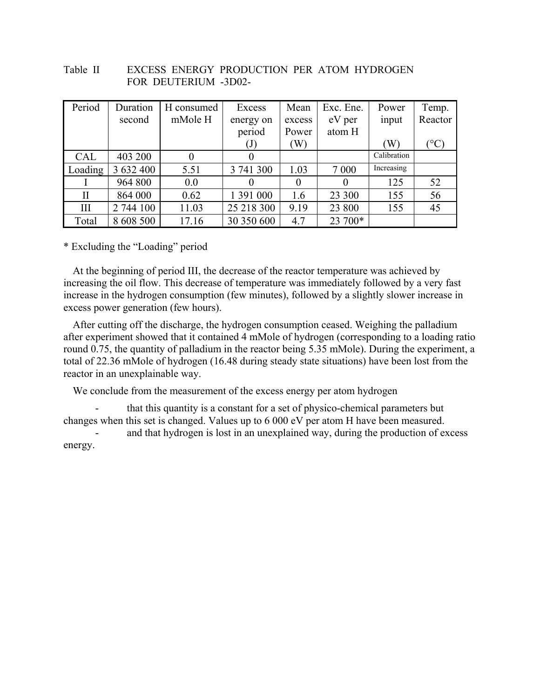| Table II | EXCESS ENERGY PRODUCTION PER ATOM HYDROGEN |
|----------|--------------------------------------------|
|          | FOR DEUTERIUM -3D02-                       |

| Period     | Duration  | H consumed | Excess                     | Mean     | Exc. Ene. | Power       | Temp.                  |
|------------|-----------|------------|----------------------------|----------|-----------|-------------|------------------------|
|            | second    | mMole H    | energy on                  | excess   | eV per    | input       | Reactor                |
|            |           |            | period                     | Power    | atom H    |             |                        |
|            |           |            | $\left( \mathrm{J}\right)$ | (W)      |           | (W)         | $({}^\circ\mathrm{C})$ |
| <b>CAL</b> | 403 200   | $\theta$   | $\theta$                   |          |           | Calibration |                        |
| Loading    | 3 632 400 | 5.51       | 3 741 300                  | 1.03     | 7 0 0 0   | Increasing  |                        |
|            | 964 800   | 0.0        |                            | $\theta$ | $\Omega$  | 125         | 52                     |
| $\rm II$   | 864 000   | 0.62       | 1 391 000                  | 1.6      | 23 300    | 155         | 56                     |
| Ш          | 2 744 100 | 11.03      | 25 218 300                 | 9.19     | 23 800    | 155         | 45                     |
| Total      | 8 608 500 | 17.16      | 30 350 600                 | 4.7      | 23 700*   |             |                        |

\* Excluding the "Loading" period

At the beginning of period III, the decrease of the reactor temperature was achieved by increasing the oil flow. This decrease of temperature was immediately followed by a very fast increase in the hydrogen consumption (few minutes), followed by a slightly slower increase in excess power generation (few hours).

After cutting off the discharge, the hydrogen consumption ceased. Weighing the palladium after experiment showed that it contained 4 mMole of hydrogen (corresponding to a loading ratio round 0.75, the quantity of palladium in the reactor being 5.35 mMole). During the experiment, a total of 22.36 mMole of hydrogen (16.48 during steady state situations) have been lost from the reactor in an unexplainable way.

We conclude from the measurement of the excess energy per atom hydrogen

- that this quantity is a constant for a set of physico-chemical parameters but changes when this set is changed. Values up to 6 000 eV per atom H have been measured.

and that hydrogen is lost in an unexplained way, during the production of excess energy.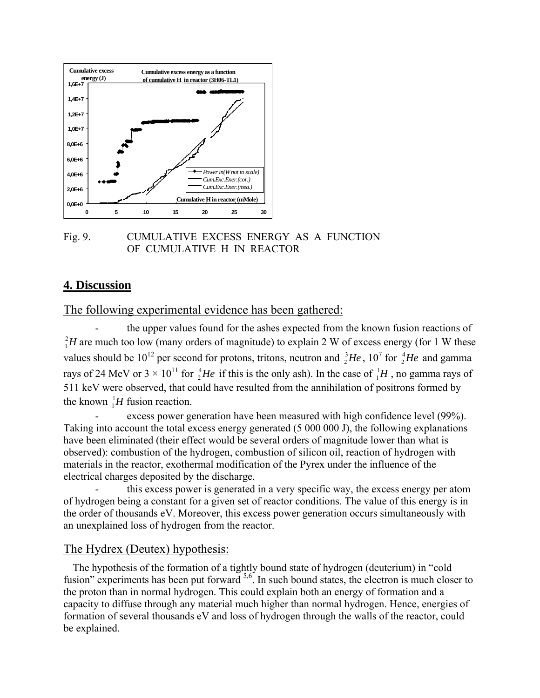

Fig. 9. CUMULATIVE EXCESS ENERGY AS A FUNCTION OF CUMULATIVE H IN REACTOR

# **4. Discussion**

The following experimental evidence has been gathered:

the upper values found for the ashes expected from the known fusion reactions of  $\int_{1}^{2}$ H are much too low (many orders of magnitude) to explain 2 W of excess energy (for 1 W these values should be  $10^{12}$  per second for protons, tritons, neutron and  $\frac{3}{2}He$ , 10 1 <sup>7</sup> for  ${}_{2}^{4}He$  and gamma rays of 24 MeV or  $3 \times 10^{11}$  for  $^{4}_{2}He$  if this is the only ash). In the case of  $^{1}_{1}H$ , no gamma rays of 511 keV were observed, that could have resulted from the annihilation of positrons formed by the known  ${}^{1}_{1}H$  fusion reaction.

excess power generation have been measured with high confidence level (99%). Taking into account the total excess energy generated (5 000 000 J), the following explanations have been eliminated (their effect would be several orders of magnitude lower than what is observed): combustion of the hydrogen, combustion of silicon oil, reaction of hydrogen with materials in the reactor, exothermal modification of the Pyrex under the influence of the electrical charges deposited by the discharge.

this excess power is generated in a very specific way, the excess energy per atom of hydrogen being a constant for a given set of reactor conditions. The value of this energy is in the order of thousands eV. Moreover, this excess power generation occurs simultaneously with an unexplained loss of hydrogen from the reactor.

# The Hydrex (Deutex) hypothesis:

The hypothesis of the formation of a tightly bound state of hydrogen (deuterium) in "cold fusion" experiments has been put forward  $5.6$ . In such bound states, the electron is much closer to the proton than in normal hydrogen. This could explain both an energy of formation and a capacity to diffuse through any material much higher than normal hydrogen. Hence, energies of formation of several thousands eV and loss of hydrogen through the walls of the reactor, could be explained.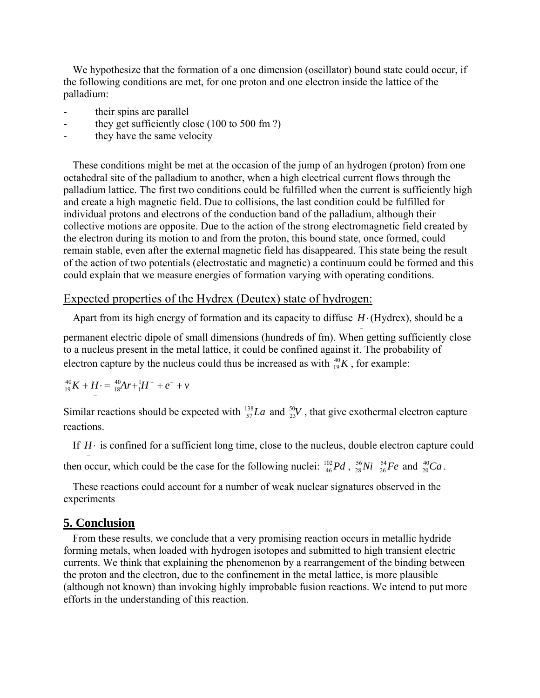We hypothesize that the formation of a one dimension (oscillator) bound state could occur, if the following conditions are met, for one proton and one electron inside the lattice of the pa lladium:

- their spins are parallel
- they get sufficiently close (100 to 500 fm ?)
- they have the same velocity

These conditions might be met at the occasion of the jump of an hydrogen (proton) from one octahedral site of the palladium to another, when a high electrical current flows through the pa lladium lattice. The first two conditions could be fulfilled when the current is sufficiently high and create a high magnetic field. Due to collisions, the last condition could be fulfilled for individual protons and electrons of the conduction band of the palladium, although their collective motions are opposite. Due to the action of the strong electromagnetic field created by the electron during its motion to and from the proton, this bound state, once formed, could remain stable, even after the external magnetic field has disappeared. This state being the result of the action of two potentials (electrostatic and magnetic) a continuum could be formed and this could explain that we measure energies of formation varying with operating conditions.

### Expected properties of the Hydrex (Deutex) state of hydrogen:

Apart from its high energy of formation and its capacity to diffuse *H*⋅ (Hydrex), should be a

to a nucleus present in the metal lattice, it could be confined against it. The probability of permanent electric dipole of small dimensions (hundreds of fm). When getting sufficiently close electron capture by the nucleus could thus be increased as with  $^{40}_{19}K$ , for example:

 $K + H \cdot = \frac{40}{18}Ar + \frac{1}{1}H^{+} + e^{-} + v$ 1 40  $1 - 18$ 40 19

Similar reactions should be expected with  $^{138}_{57}La$  and  $^{50}_{23}V$ , that give exothermal electron capture reactions.

If  $H_1$  is confined for a sufficient long time, close to the nucleus, double electron capture could  $\mathcal{L}(\mathcal{L})$ 

then occur, which could be the case for the following nuclei:  $^{102}_{46}Pd$ ,  $^{56}_{28}Ni$   $^{54}_{26}Fe$  and  $^{40}_{20}Ca$ .

These reactions could account for a number of weak nuclear signatures observed in the experiments

### **5. Conclusion**

From these results, we conclude that a very promising reaction occurs in metallic hydride forming metals, when loaded with hydrogen isotopes and submitted to high transient electric currents. We think that explaining the phenomenon by a rearrangement of the binding between the proton and the electron, due to the confinement in the metal lattice, is more plausible (although not known) than invoking highly improbable fusion reactions. We intend to put more efforts in the understanding of this reaction.